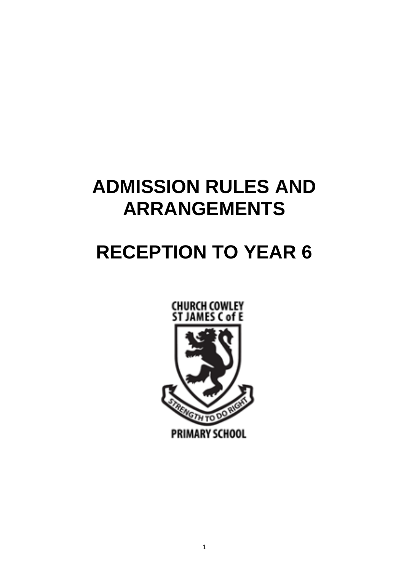# **ADMISSION RULES AND ARRANGEMENTS**

# **RECEPTION TO YEAR 6**

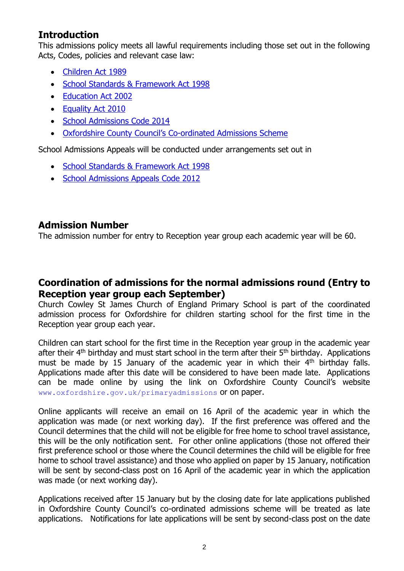### **Introduction**

This admissions policy meets all lawful requirements including those set out in the following Acts, Codes, policies and relevant case law:

- [Children Act 1989](http://www.legislation.gov.uk/ukpga/1989/41/contents)
- [School Standards & Framework Act 1998](http://www.legislation.gov.uk/ukpga/1998/31/contents)
- [Education Act 2002](http://www.legislation.gov.uk/ukpga/2002/32/contents)
- [Equality Act 2010](http://www.legislation.gov.uk/ukpga/2010/15/contents)
- [School Admissions Code 2014](http://www.gov.uk/government/publications/school-admissions-code--2)
- [Oxfordshire County Council's Co](http://www.oxfordshire.gov.uk/admissionrules)-ordinated Admissions Scheme

School Admissions Appeals will be conducted under arrangements set out in

- [School Standards & Framework Act 1998](http://www.legislation.gov.uk/ukpga/1998/31/contents)
- [School Admissions Appeals Code 2012](http://www.gov.uk/government/publications/school-admissions-appeals-code)

#### **Admission Number**

The admission number for entry to Reception year group each academic year will be 60.

#### **Coordination of admissions for the normal admissions round (Entry to Reception year group each September)**

Church Cowley St James Church of England Primary School is part of the coordinated admission process for Oxfordshire for children starting school for the first time in the Reception year group each year.

Children can start school for the first time in the Reception year group in the academic year after their  $4<sup>th</sup>$  birthday and must start school in the term after their  $5<sup>th</sup>$  birthday. Applications must be made by 15 January of the academic year in which their  $4<sup>th</sup>$  birthday falls. Applications made after this date will be considered to have been made late. Applications can be made online by using the link on Oxfordshire County Council's website [www.oxfordshire.gov.uk/primaryadmissions](http://www.oxfordshire.gov.uk/primaryadmissions) or on paper.

Online applicants will receive an email on 16 April of the academic year in which the application was made (or next working day). If the first preference was offered and the Council determines that the child will not be eligible for free home to school travel assistance, this will be the only notification sent. For other online applications (those not offered their first preference school or those where the Council determines the child will be eligible for free home to school travel assistance) and those who applied on paper by 15 January, notification will be sent by second-class post on 16 April of the academic year in which the application was made (or next working day).

Applications received after 15 January but by the closing date for late applications published in Oxfordshire County Council's co-ordinated admissions scheme will be treated as late applications. Notifications for late applications will be sent by second-class post on the date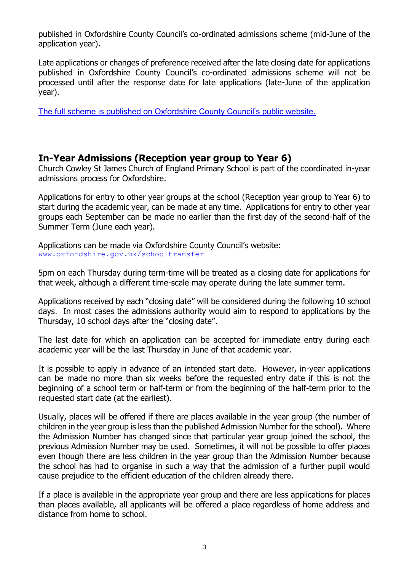published in Oxfordshire County Council's co-ordinated admissions scheme (mid-June of the application year).

Late applications or changes of preference received after the late closing date for applications published in Oxfordshire County Council's co-ordinated admissions scheme will not be processed until after the response date for late applications (late-June of the application year).

[The full scheme is published on Oxfordshire County Council's public website.](http://www.oxfordshire.gov.uk/admissionrules)

#### **In-Year Admissions (Reception year group to Year 6)**

Church Cowley St James Church of England Primary School is part of the coordinated in-year admissions process for Oxfordshire.

Applications for entry to other year groups at the school (Reception year group to Year 6) to start during the academic year, can be made at any time. Applications for entry to other year groups each September can be made no earlier than the first day of the second-half of the Summer Term (June each year).

Applications can be made via Oxfordshire County Council's website: www.oxfordshire.gov.uk/schooltransfer

5pm on each Thursday during term-time will be treated as a closing date for applications for that week, although a different time-scale may operate during the late summer term.

Applications received by each "closing date" will be considered during the following 10 school days. In most cases the admissions authority would aim to respond to applications by the Thursday, 10 school days after the "closing date".

The last date for which an application can be accepted for immediate entry during each academic year will be the last Thursday in June of that academic year.

It is possible to apply in advance of an intended start date. However, in-year applications can be made no more than six weeks before the requested entry date if this is not the beginning of a school term or half-term or from the beginning of the half-term prior to the requested start date (at the earliest).

Usually, places will be offered if there are places available in the year group (the number of children in the year group is less than the published Admission Number for the school). Where the Admission Number has changed since that particular year group joined the school, the previous Admission Number may be used. Sometimes, it will not be possible to offer places even though there are less children in the year group than the Admission Number because the school has had to organise in such a way that the admission of a further pupil would cause prejudice to the efficient education of the children already there.

If a place is available in the appropriate year group and there are less applications for places than places available, all applicants will be offered a place regardless of home address and distance from home to school.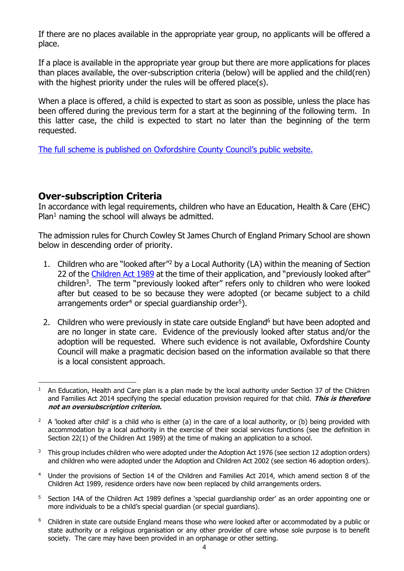If there are no places available in the appropriate year group, no applicants will be offered a place.

If a place is available in the appropriate year group but there are more applications for places than places available, the over-subscription criteria (below) will be applied and the child(ren) with the highest priority under the rules will be offered place(s).

When a place is offered, a child is expected to start as soon as possible, unless the place has been offered during the previous term for a start at the beginning of the following term. In this latter case, the child is expected to start no later than the beginning of the term requested.

[The full scheme is published on Oxfordshire County Council's public website.](http://www.oxfordshire.gov.uk/admissionrules)

#### **Over-subscription Criteria**

In accordance with legal requirements, children who have an Education, Health & Care (EHC) Plan<sup>1</sup> naming the school will always be admitted.

The admission rules for Church Cowley St James Church of England Primary School are shown below in descending order of priority.

- 1. Children who are "looked after"<sup>2</sup> by a Local Authority (LA) within the meaning of Section 22 of the [Children Act 1989](http://www.legislation.gov.uk/ukpga/1989/41/contents) at the time of their application, and "previously looked after" children<sup>3</sup>. The term "previously looked after" refers only to children who were looked after but ceased to be so because they were adopted (or became subject to a child arrangements order<sup>4</sup> or special guardianship order<sup>5</sup>).
- 2. Children who were previously in state care outside England<sup>6</sup> but have been adopted and are no longer in state care. Evidence of the previously looked after status and/or the adoption will be requested. Where such evidence is not available, Oxfordshire County Council will make a pragmatic decision based on the information available so that there is a local consistent approach.

- $3$  This group includes children who were adopted under the Adoption Act 1976 (see section 12 adoption orders) and children who were adopted under the Adoption and Children Act 2002 (see section 46 adoption orders).
- <sup>4</sup> Under the provisions of Section 14 of the Children and Families Act 2014, which amend section 8 of the Children Act 1989, residence orders have now been replaced by child arrangements orders.
- <sup>5</sup> Section 14A of the Children Act 1989 defines a 'special guardianship order' as an order appointing one or more individuals to be a child's special guardian (or special guardians).
- <sup>6</sup> Children in state care outside England means those who were looked after or accommodated by a public or state authority or a religious organisation or any other provider of care whose sole purpose is to benefit society. The care may have been provided in an orphanage or other setting.

<sup>&</sup>lt;u>.</u> <sup>1</sup> An Education, Health and Care plan is a plan made by the local authority under Section 37 of the Children and Families Act 2014 specifying the special education provision required for that child. **This is therefore not an oversubscription criterion.**

<sup>&</sup>lt;sup>2</sup> A 'looked after child' is a child who is either (a) in the care of a local authority, or (b) being provided with accommodation by a local authority in the exercise of their social services functions (see the definition in Section 22(1) of the Children Act 1989) at the time of making an application to a school.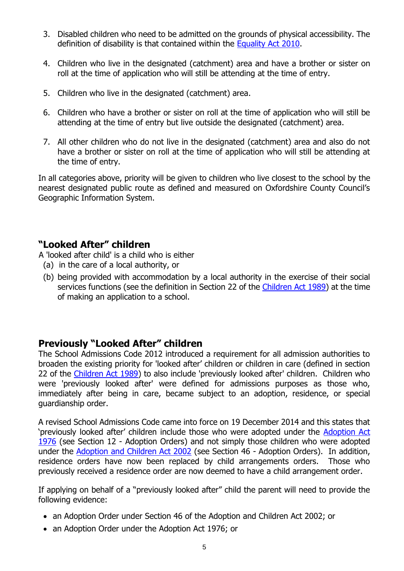- 3. Disabled children who need to be admitted on the grounds of physical accessibility. The definition of disability is that contained within the [Equality Act 2010.](http://www.legislation.gov.uk/ukpga/2010/15/contents)
- 4. Children who live in the designated (catchment) area and have a brother or sister on roll at the time of application who will still be attending at the time of entry.
- 5. Children who live in the designated (catchment) area.
- 6. Children who have a brother or sister on roll at the time of application who will still be attending at the time of entry but live outside the designated (catchment) area.
- 7. All other children who do not live in the designated (catchment) area and also do not have a brother or sister on roll at the time of application who will still be attending at the time of entry.

In all categories above, priority will be given to children who live closest to the school by the nearest designated public route as defined and measured on Oxfordshire County Council's Geographic Information System.

# **"Looked After" children**

A 'looked after child' is a child who is either

- (a) in the care of a local authority, or
- (b) being provided with accommodation by a local authority in the exercise of their social services functions (see the definition in Section 22 of the [Children Act 1989\)](http://www.legislation.gov.uk/ukpga/1989/41/contents) at the time of making an application to a school.

# **Previously "Looked After" children**

The School Admissions Code 2012 introduced a requirement for all admission authorities to broaden the existing priority for 'looked after' children or children in care (defined in section 22 of the [Children Act 1989\)](http://www.legislation.gov.uk/ukpga/1989/41/contents) to also include 'previously looked after' children. Children who were 'previously looked after' were defined for admissions purposes as those who, immediately after being in care, became subject to an adoption, residence, or special guardianship order.

A revised School Admissions Code came into force on 19 December 2014 and this states that 'previously looked after' children include those who were adopted under the [Adoption Act](http://www.legislation.gov.uk/ukpga/1976/36/contents)  [1976](http://www.legislation.gov.uk/ukpga/1976/36/contents) (see Section 12 - Adoption Orders) and not simply those children who were adopted under the [Adoption and Children Act 2002](http://www.legislation.gov.uk/ukpga/2002/38/contents) (see Section 46 - Adoption Orders). In addition, residence orders have now been replaced by child arrangements orders. Those who previously received a residence order are now deemed to have a child arrangement order.

If applying on behalf of a "previously looked after" child the parent will need to provide the following evidence:

- an Adoption Order under Section 46 of the Adoption and Children Act 2002; or
- an Adoption Order under the Adoption Act 1976; or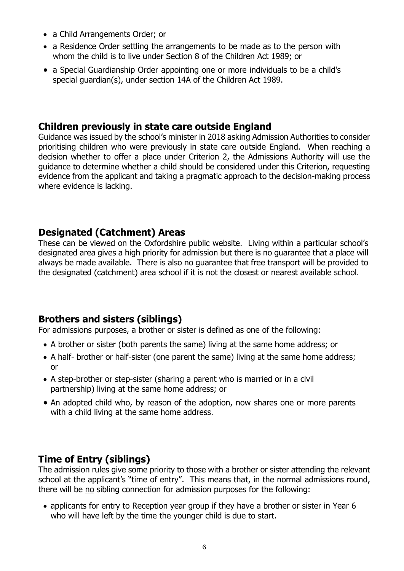- a Child Arrangements Order; or
- a Residence Order settling the arrangements to be made as to the person with whom the child is to live under Section 8 of the Children Act 1989; or
- a Special Guardianship Order appointing one or more individuals to be a child's special guardian(s), under section 14A of the Children Act 1989.

### **Children previously in state care outside England**

Guidance was issued by the school's minister in 2018 asking Admission Authorities to consider prioritising children who were previously in state care outside England. When reaching a decision whether to offer a place under Criterion 2, the Admissions Authority will use the guidance to determine whether a child should be considered under this Criterion, requesting evidence from the applicant and taking a pragmatic approach to the decision-making process where evidence is lacking.

# **Designated (Catchment) Areas**

These can be viewed on the Oxfordshire public website. Living within a particular school's designated area gives a high priority for admission but there is no guarantee that a place will always be made available. There is also no guarantee that free transport will be provided to the designated (catchment) area school if it is not the closest or nearest available school.

# **Brothers and sisters (siblings)**

For admissions purposes, a brother or sister is defined as one of the following:

- A brother or sister (both parents the same) living at the same home address; or
- A half- brother or half-sister (one parent the same) living at the same home address; or
- A step-brother or step-sister (sharing a parent who is married or in a civil partnership) living at the same home address; or
- An adopted child who, by reason of the adoption, now shares one or more parents with a child living at the same home address.

# **Time of Entry (siblings)**

The admission rules give some priority to those with a brother or sister attending the relevant school at the applicant's "time of entry". This means that, in the normal admissions round, there will be no sibling connection for admission purposes for the following:

• applicants for entry to Reception year group if they have a brother or sister in Year 6 who will have left by the time the younger child is due to start.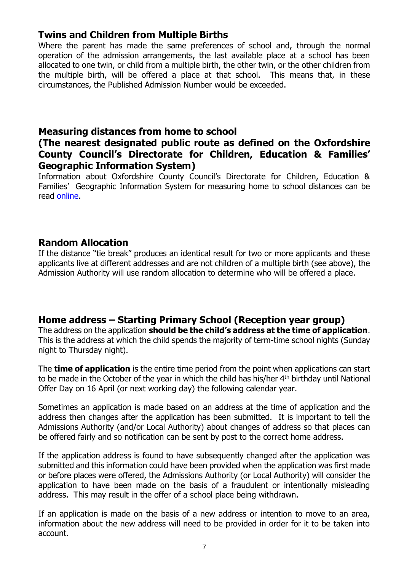# **Twins and Children from Multiple Births**

Where the parent has made the same preferences of school and, through the normal operation of the admission arrangements, the last available place at a school has been allocated to one twin, or child from a multiple birth, the other twin, or the other children from the multiple birth, will be offered a place at that school. This means that, in these circumstances, the Published Admission Number would be exceeded.

#### **Measuring distances from home to school**

#### **(The nearest designated public route as defined on the Oxfordshire County Council's Directorate for Children, Education & Families' Geographic Information System)**

Information about Oxfordshire County Council's Directorate for Children, Education & Families' Geographic Information System for measuring home to school distances can be read [online.](http://www.oxfordshire.gov.uk/cms/sites/default/files/folders/documents/childreneducationandfamilies/educationandlearning/schools/admissionpolicies/Measuring.pdf)

#### **Random Allocation**

If the distance "tie break" produces an identical result for two or more applicants and these applicants live at different addresses and are not children of a multiple birth (see above), the Admission Authority will use random allocation to determine who will be offered a place.

# **Home address – Starting Primary School (Reception year group)**

The address on the application **should be the child's address at the time of application**. This is the address at which the child spends the majority of term-time school nights (Sunday night to Thursday night).

The **time of application** is the entire time period from the point when applications can start to be made in the October of the year in which the child has his/her 4<sup>th</sup> birthday until National Offer Day on 16 April (or next working day) the following calendar year.

Sometimes an application is made based on an address at the time of application and the address then changes after the application has been submitted. It is important to tell the Admissions Authority (and/or Local Authority) about changes of address so that places can be offered fairly and so notification can be sent by post to the correct home address.

If the application address is found to have subsequently changed after the application was submitted and this information could have been provided when the application was first made or before places were offered, the Admissions Authority (or Local Authority) will consider the application to have been made on the basis of a fraudulent or intentionally misleading address. This may result in the offer of a school place being withdrawn.

If an application is made on the basis of a new address or intention to move to an area, information about the new address will need to be provided in order for it to be taken into account.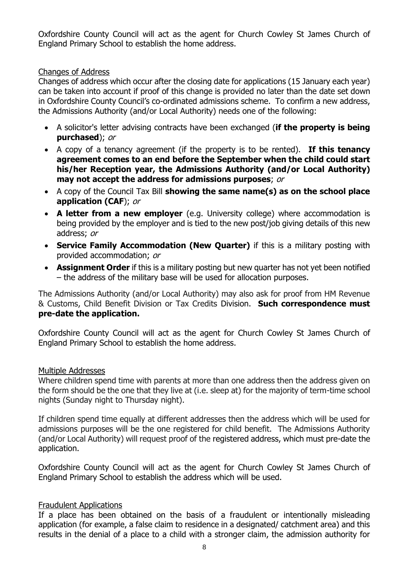Oxfordshire County Council will act as the agent for Church Cowley St James Church of England Primary School to establish the home address.

#### Changes of Address

Changes of address which occur after the closing date for applications (15 January each year) can be taken into account if proof of this change is provided no later than the date set down in Oxfordshire County Council's co-ordinated admissions scheme. To confirm a new address, the Admissions Authority (and/or Local Authority) needs one of the following:

- A solicitor's letter advising contracts have been exchanged (**if the property is being purchased**); or
- A copy of a tenancy agreement (if the property is to be rented). **If this tenancy agreement comes to an end before the September when the child could start his/her Reception year, the Admissions Authority (and/or Local Authority) may not accept the address for admissions purposes**; or
- A copy of the Council Tax Bill **showing the same name(s) as on the school place application (CAF**); or
- **A letter from a new employer** (e.g. University college) where accommodation is being provided by the employer and is tied to the new post/job giving details of this new address; or
- **Service Family Accommodation (New Quarter)** if this is a military posting with provided accommodation; or
- **Assignment Order** if this is a military posting but new quarter has not yet been notified – the address of the military base will be used for allocation purposes.

The Admissions Authority (and/or Local Authority) may also ask for proof from HM Revenue & Customs, Child Benefit Division or Tax Credits Division. **Such correspondence must pre-date the application.**

Oxfordshire County Council will act as the agent for Church Cowley St James Church of England Primary School to establish the home address.

#### Multiple Addresses

Where children spend time with parents at more than one address then the address given on the form should be the one that they live at (i.e. sleep at) for the majority of term-time school nights (Sunday night to Thursday night).

If children spend time equally at different addresses then the address which will be used for admissions purposes will be the one registered for child benefit. The Admissions Authority (and/or Local Authority) will request proof of the registered address, which must pre-date the application.

Oxfordshire County Council will act as the agent for Church Cowley St James Church of England Primary School to establish the address which will be used.

#### Fraudulent Applications

If a place has been obtained on the basis of a fraudulent or intentionally misleading application (for example, a false claim to residence in a designated/ catchment area) and this results in the denial of a place to a child with a stronger claim, the admission authority for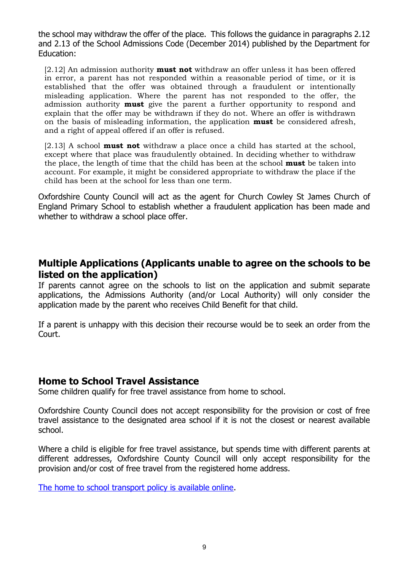the school may withdraw the offer of the place. This follows the guidance in paragraphs 2.12 and 2.13 of the School Admissions Code (December 2014) published by the Department for Education:

[2.12] An admission authority **must not** withdraw an offer unless it has been offered in error, a parent has not responded within a reasonable period of time, or it is established that the offer was obtained through a fraudulent or intentionally misleading application. Where the parent has not responded to the offer, the admission authority **must** give the parent a further opportunity to respond and explain that the offer may be withdrawn if they do not. Where an offer is withdrawn on the basis of misleading information, the application **must** be considered afresh, and a right of appeal offered if an offer is refused.

[2.13] A school **must not** withdraw a place once a child has started at the school, except where that place was fraudulently obtained. In deciding whether to withdraw the place, the length of time that the child has been at the school **must** be taken into account. For example, it might be considered appropriate to withdraw the place if the child has been at the school for less than one term.

Oxfordshire County Council will act as the agent for Church Cowley St James Church of England Primary School to establish whether a fraudulent application has been made and whether to withdraw a school place offer.

#### **Multiple Applications (Applicants unable to agree on the schools to be listed on the application)**

If parents cannot agree on the schools to list on the application and submit separate applications, the Admissions Authority (and/or Local Authority) will only consider the application made by the parent who receives Child Benefit for that child.

If a parent is unhappy with this decision their recourse would be to seek an order from the Court.

#### **Home to School Travel Assistance**

Some children qualify for free travel assistance from home to school.

Oxfordshire County Council does not accept responsibility for the provision or cost of free travel assistance to the designated area school if it is not the closest or nearest available school.

Where a child is eligible for free travel assistance, but spends time with different parents at different addresses, Oxfordshire County Council will only accept responsibility for the provision and/or cost of free travel from the registered home address.

[The home to school transport policy is available online.](http://www.oxfordshire.gov.uk/schooltransport)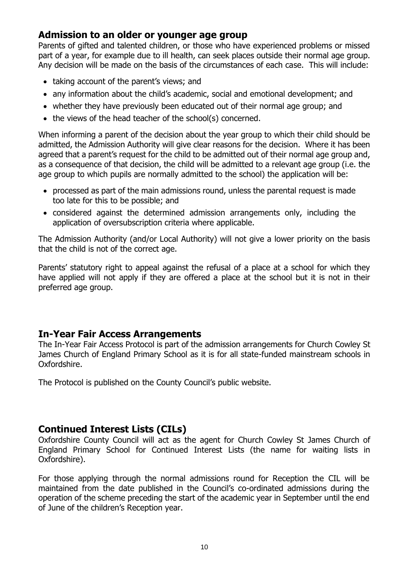#### **Admission to an older or younger age group**

Parents of gifted and talented children, or those who have experienced problems or missed part of a year, for example due to ill health, can seek places outside their normal age group. Any decision will be made on the basis of the circumstances of each case. This will include:

- taking account of the parent's views; and
- any information about the child's academic, social and emotional development; and
- whether they have previously been educated out of their normal age group; and
- the views of the head teacher of the school(s) concerned.

When informing a parent of the decision about the year group to which their child should be admitted, the Admission Authority will give clear reasons for the decision. Where it has been agreed that a parent's request for the child to be admitted out of their normal age group and, as a consequence of that decision, the child will be admitted to a relevant age group (i.e. the age group to which pupils are normally admitted to the school) the application will be:

- processed as part of the main admissions round, unless the parental request is made too late for this to be possible; and
- considered against the determined admission arrangements only, including the application of oversubscription criteria where applicable.

The Admission Authority (and/or Local Authority) will not give a lower priority on the basis that the child is not of the correct age.

Parents' statutory right to appeal against the refusal of a place at a school for which they have applied will not apply if they are offered a place at the school but it is not in their preferred age group.

#### **In-Year Fair Access Arrangements**

The In-Year Fair Access Protocol is part of the admission arrangements for Church Cowley St James Church of England Primary School as it is for all state-funded mainstream schools in Oxfordshire.

The Protocol is published on the County Council's public website.

#### **Continued Interest Lists (CILs)**

Oxfordshire County Council will act as the agent for Church Cowley St James Church of England Primary School for Continued Interest Lists (the name for waiting lists in Oxfordshire).

For those applying through the normal admissions round for Reception the CIL will be maintained from the date published in the Council's co-ordinated admissions during the operation of the scheme preceding the start of the academic year in September until the end of June of the children's Reception year.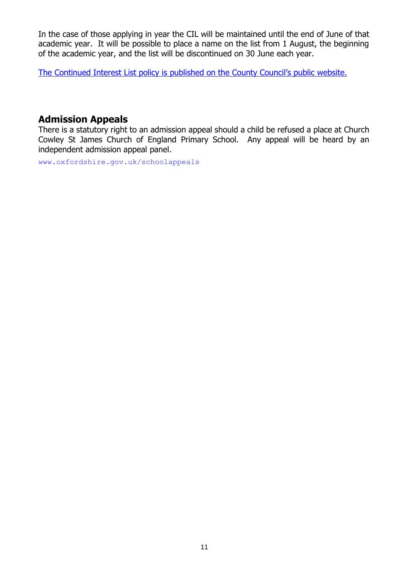In the case of those applying in year the CIL will be maintained until the end of June of that academic year. It will be possible to place a name on the list from 1 August, the beginning of the academic year, and the list will be discontinued on 30 June each year.

[The Continued Interest List policy is published on the County Council's public website.](http://www.oxfordshire.gov.uk/continuedinterest)

### **Admission Appeals**

There is a statutory right to an admission appeal should a child be refused a place at Church Cowley St James Church of England Primary School. Any appeal will be heard by an independent admission appeal panel.

[www.oxfordshire.gov.uk/schoolappeals](http://www.oxfordshire.gov.uk/schoolappeals)